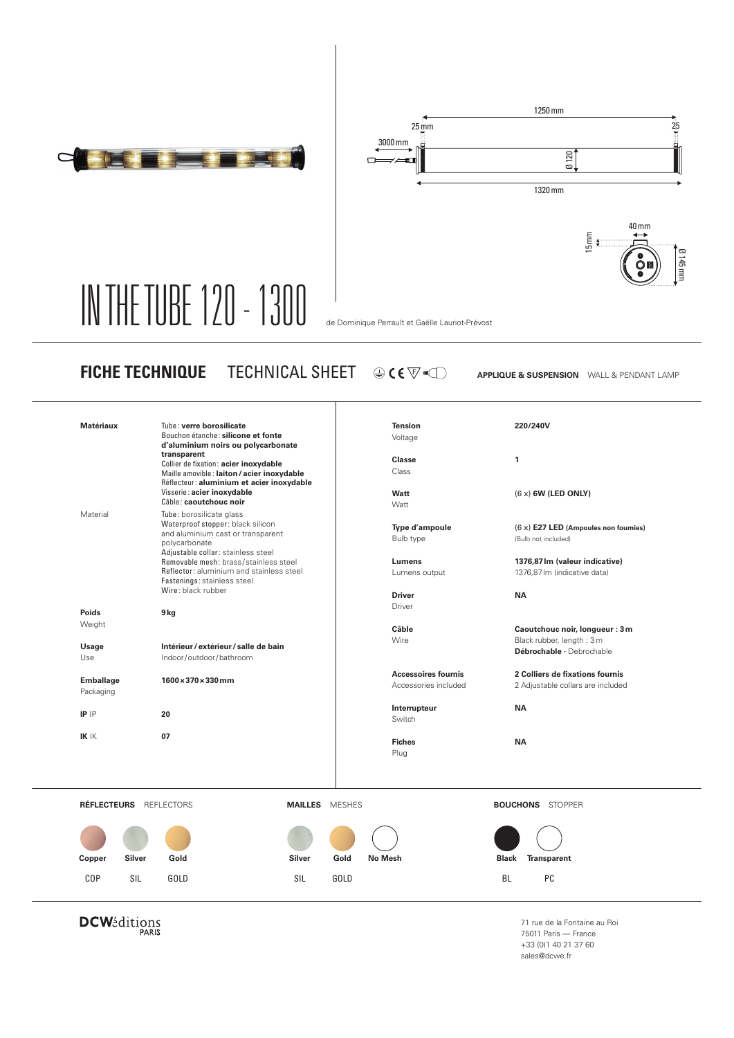



## IN THE TUBE 120 - 1300 de Dominique Perrault et Gaëlle Lauriot-Prévost

**FICHE TECHNIQUE** TECHNICAL SHEET

**APPLIQUE & SUSPENSION** WALL & PENDANT LAMP

| Visserie: acier inoxydable<br>Câble: caoutchouc noir<br>Tube: borosilicate glass<br>Waterproof stopper: black silicon<br>and aluminium cast or transparent<br>polycarbonate<br>Adjustable collar: stainless steel | Watt<br>Watt<br>Type d'ampoule<br>Bulb type                                           | $(6 x)$ 6W (LED ONLY)<br>(6 x) E27 LED (Ampoules non fournies)       |
|-------------------------------------------------------------------------------------------------------------------------------------------------------------------------------------------------------------------|---------------------------------------------------------------------------------------|----------------------------------------------------------------------|
|                                                                                                                                                                                                                   |                                                                                       |                                                                      |
|                                                                                                                                                                                                                   |                                                                                       | (Bulb not included)                                                  |
| Reflector: aluminium and stainless steel<br>Fastenings: stainless steel                                                                                                                                           | Lumens<br>Lumens output                                                               | 1376,87 lm (valeur indicative)<br>1376,87 lm (indicative data)       |
|                                                                                                                                                                                                                   | <b>Driver</b>                                                                         | <b>NA</b>                                                            |
| 9 kg                                                                                                                                                                                                              |                                                                                       |                                                                      |
|                                                                                                                                                                                                                   | Câble                                                                                 | Caoutchouc noir, longueur : 3 m                                      |
| Intérieur / extérieur / salle de bain                                                                                                                                                                             |                                                                                       | Black rubber, length: 3m<br>Débrochable · Debrochable                |
| Indoor/outdoor/bathroom                                                                                                                                                                                           |                                                                                       |                                                                      |
| 1600×370×330mm                                                                                                                                                                                                    | <b>Accessoires fournis</b><br>Accessories included                                    | 2 Colliers de fixations fournis<br>2 Adjustable collars are included |
| 20                                                                                                                                                                                                                | Interrupteur<br>Switch                                                                | <b>NA</b>                                                            |
| 07                                                                                                                                                                                                                | <b>Fiches</b><br>Plug                                                                 | <b>NA</b>                                                            |
|                                                                                                                                                                                                                   |                                                                                       | <b>BOUCHONS</b> STOPPER                                              |
|                                                                                                                                                                                                                   |                                                                                       |                                                                      |
|                                                                                                                                                                                                                   |                                                                                       |                                                                      |
| Gold<br>Silver                                                                                                                                                                                                    | Gold<br><b>No Mesh</b>                                                                | <b>Transparent</b><br><b>Black</b>                                   |
| GOLD<br>SIL                                                                                                                                                                                                       | <b>GOLD</b>                                                                           | <b>BL</b><br>PC                                                      |
|                                                                                                                                                                                                                   | Removable mesh: brass/stainless steel<br>Wire: black rubber<br>RÉFLECTEURS REFLECTORS | Driver<br>Wire<br><b>MAILLES</b> MESHES                              |

**DCW**éditions

71 rue de la Fontaine au Roi 75011 Paris — France +33 (0)1 40 21 37 60 sales@dcwe.fr